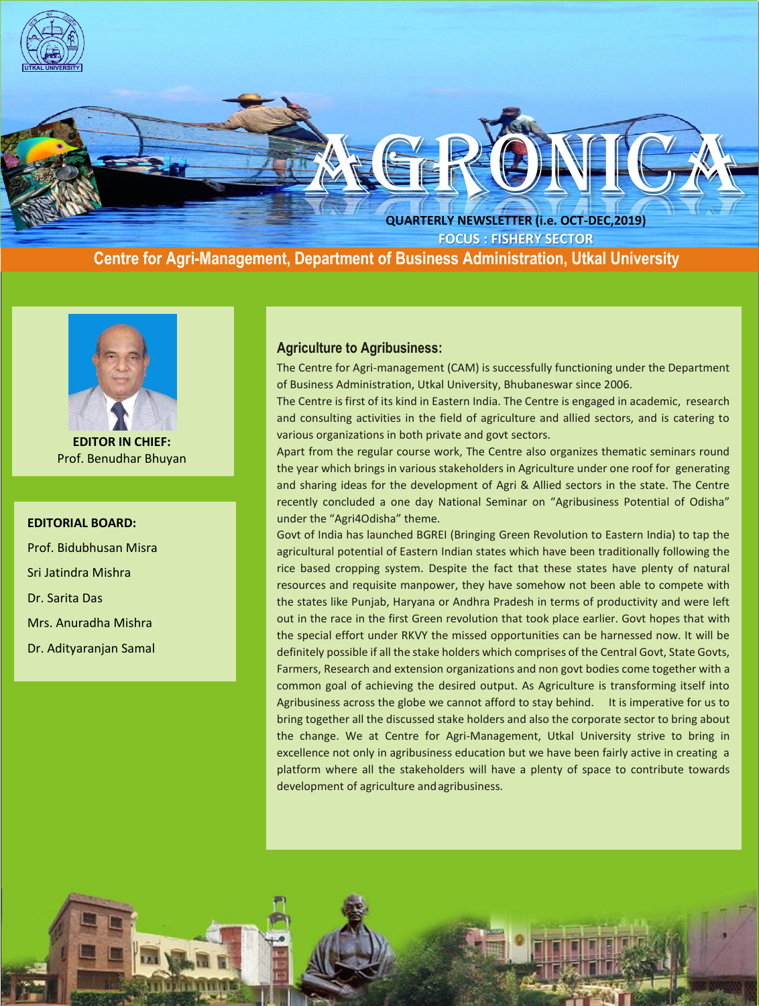

 **Centre for Agri-Management, Department of Business Administration, Utkal University**



**EDITOR IN CHIEF:** Prof. Benudhar Bhuyan

#### **EDITORIAL BOARD:**

Prof. Bidubhusan Misra Sri Jatindra Mishra Dr. Sarita Das Mrs. Anuradha Mishra Dr. Adityaranjan Samal

#### **Agriculture to Agribusiness:**

The Centre for Agri-management (CAM) is successfully functioning under the Department of Business Administration, Utkal University, Bhubaneswar since 2006.

The Centre is first of its kind in Eastern India. The Centre is engaged in academic, research and consulting activities in the field of agriculture and allied sectors, and is catering to various organizations in both private and govt sectors.

Apart from the regular course work, The Centre also organizes thematic seminars round the year which brings in various stakeholders in Agriculture under one roof for generating and sharing ideas for the development of Agri & Allied sectors in the state. The Centre recently concluded a one day National Seminar on "Agribusiness Potential of Odisha" under the "Agri4Odisha" theme.

Govt of India has launched BGREI (Bringing Green Revolution to Eastern India) to tap the agricultural potential of Eastern Indian states which have been traditionally following the rice based cropping system. Despite the fact that these states have plenty of natural resources and requisite manpower, they have somehow not been able to compete with the states like Punjab, Haryana or Andhra Pradesh in terms of productivity and were left out in the race in the first Green revolution that took place earlier. Govt hopes that with the special effort under RKVY the missed opportunities can be harnessed now. It will be definitely possible if all the stake holders which comprises of the Central Govt, State Govts, Farmers, Research and extension organizations and non govt bodies come together with a common goal of achieving the desired output. As Agriculture is transforming itself into Agribusiness across the globe we cannot afford to stay behind. It is imperative for us to bring together all the discussed stake holders and also the corporate sector to bring about the change. We at Centre for Agri-Management, Utkal University strive to bring in excellence not only in agribusiness education but we have been fairly active in creating a platform where all the stakeholders will have a plenty of space to contribute towards development of agriculture andagribusiness.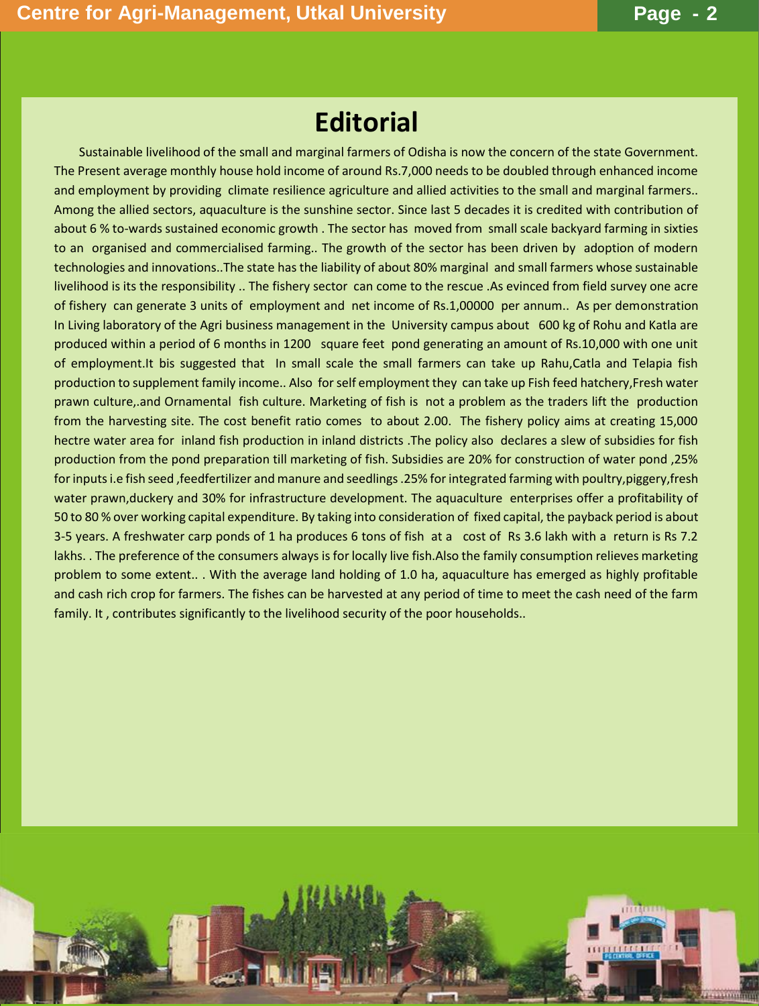# **Editorial**

 Sustainable livelihood of the small and marginal farmers of Odisha is now the concern of the state Government. The Present average monthly house hold income of around Rs.7,000 needs to be doubled through enhanced income and employment by providing climate resilience agriculture and allied activities to the small and marginal farmers.. Among the allied sectors, aquaculture is the sunshine sector. Since last 5 decades it is credited with contribution of about 6 % to-wards sustained economic growth . The sector has moved from small scale backyard farming in sixties to an organised and commercialised farming.. The growth of the sector has been driven by adoption of modern technologies and innovations..The state has the liability of about 80% marginal and small farmers whose sustainable livelihood is its the responsibility .. The fishery sector can come to the rescue .As evinced from field survey one acre of fishery can generate 3 units of employment and net income of Rs.1,00000 per annum.. As per demonstration In Living laboratory of the Agri business management in the University campus about 600 kg of Rohu and Katla are produced within a period of 6 months in 1200 square feet pond generating an amount of Rs.10,000 with one unit of employment.It bis suggested that In small scale the small farmers can take up Rahu,Catla and Telapia fish production to supplement family income.. Also for self employment they can take up Fish feed hatchery,Fresh water prawn culture,.and Ornamental fish culture. Marketing of fish is not a problem as the traders lift the production from the harvesting site. The cost benefit ratio comes to about 2.00. The fishery policy aims at creating 15,000 hectre water area for inland fish production in inland districts .The policy also declares a slew of subsidies for fish production from the pond preparation till marketing of fish. Subsidies are 20% for construction of water pond ,25% for inputs i.e fish seed ,feedfertilizer and manure and seedlings .25% for integrated farming with poultry,piggery,fresh water prawn,duckery and 30% for infrastructure development. The aquaculture enterprises offer a profitability of 50 to 80 % over working capital expenditure. By taking into consideration of fixed capital, the payback period is about 3-5 years. A freshwater carp ponds of 1 ha produces 6 tons of fish at a cost of Rs 3.6 lakh with a return is Rs 7.2 lakhs. . The preference of the consumers always is for locally live fish.Also the family consumption relieves marketing problem to some extent.. . With the average land holding of 1.0 ha, aquaculture has emerged as highly profitable and cash rich crop for farmers. The fishes can be harvested at any period of time to meet the cash need of the farm family. It , contributes significantly to the livelihood security of the poor households..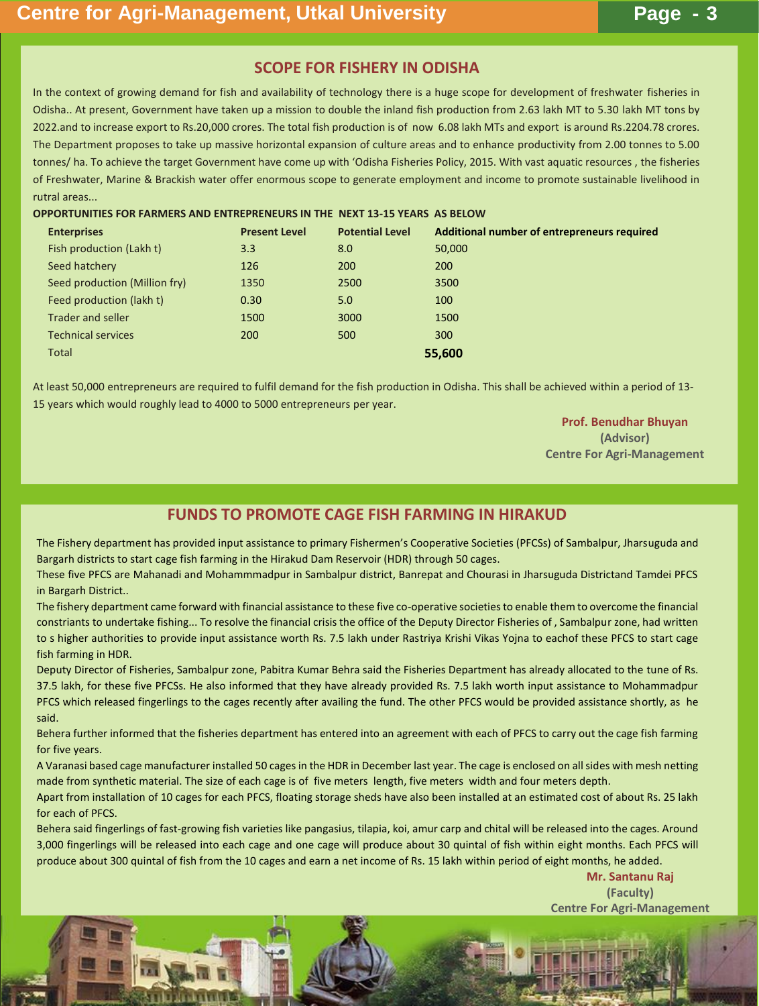## **SCOPE FOR FISHERY IN ODISHA**

In the context of growing demand for fish and availability of technology there is a huge scope for development of freshwater fisheries in Odisha.. At present, Government have taken up a mission to double the inland fish production from 2.63 lakh MT to 5.30 lakh MT tons by 2022.and to increase export to Rs.20,000 crores. The total fish production is of now 6.08 lakh MTs and export is around Rs.2204.78 crores. The Department proposes to take up massive horizontal expansion of culture areas and to enhance productivity from 2.00 tonnes to 5.00 tonnes/ ha. To achieve the target Government have come up with 'Odisha Fisheries Policy, 2015. With vast aquatic resources , the fisheries of Freshwater, Marine & Brackish water offer enormous scope to generate employment and income to promote sustainable livelihood in rutral areas...

#### **OPPORTUNITIES FOR FARMERS AND ENTREPRENEURS IN THE NEXT 13-15 YEARS AS BELOW**

| <b>Enterprises</b>            | <b>Present Level</b> | <b>Potential Level</b> | Additional number of entrepreneurs required |
|-------------------------------|----------------------|------------------------|---------------------------------------------|
| Fish production (Lakh t)      | 3.3                  | 8.0                    | 50,000                                      |
| Seed hatchery                 | 126                  | 200                    | 200                                         |
| Seed production (Million fry) | 1350                 | 2500                   | 3500                                        |
| Feed production (lakh t)      | 0.30                 | 5.0                    | 100                                         |
| <b>Trader and seller</b>      | 1500                 | 3000                   | 1500                                        |
| <b>Technical services</b>     | 200                  | 500                    | 300                                         |
| <b>Total</b>                  |                      |                        | 55,600                                      |

At least 50,000 entrepreneurs are required to fulfil demand for the fish production in Odisha. This shall be achieved within a period of 13- 15 years which would roughly lead to 4000 to 5000 entrepreneurs per year.

> **Prof. Benudhar Bhuyan (Advisor) Centre For Agri-Management**

# **FUNDS TO PROMOTE CAGE FISH FARMING IN HIRAKUD**

The Fishery department has provided input assistance to primary Fishermen's Cooperative Societies (PFCSs) of Sambalpur, Jharsuguda and Bargarh districts to start cage fish farming in the Hirakud Dam Reservoir (HDR) through 50 cages.

These five PFCS are Mahanadi and Mohammmadpur in Sambalpur district, Banrepat and Chourasi in Jharsuguda Districtand Tamdei PFCS in Bargarh District..

The fishery department came forward with financial assistance to these five co-operative societies to enable them to overcome the financial constriants to undertake fishing... To resolve the financial crisis the office of the Deputy Director Fisheries of , Sambalpur zone, had written to s higher authorities to provide input assistance worth Rs. 7.5 lakh under Rastriya Krishi Vikas Yojna to eachof these PFCS to start cage fish farming in HDR.

Deputy Director of Fisheries, Sambalpur zone, Pabitra Kumar Behra said the Fisheries Department has already allocated to the tune of Rs. 37.5 lakh, for these five PFCSs. He also informed that they have already provided Rs. 7.5 lakh worth input assistance to Mohammadpur PFCS which released fingerlings to the cages recently after availing the fund. The other PFCS would be provided assistance shortly, as he said.

Behera further informed that the fisheries department has entered into an agreement with each of PFCS to carry out the cage fish farming for five years.

A Varanasi based cage manufacturer installed 50 cages in the HDR in December last year. The cage is enclosed on all sides with mesh netting made from synthetic material. The size of each cage is of five meters length, five meters width and four meters depth.

Apart from installation of 10 cages for each PFCS, floating storage sheds have also been installed at an estimated cost of about Rs. 25 lakh for each of PFCS.

Behera said fingerlings of fast-growing fish varieties like pangasius, tilapia, koi, amur carp and chital will be released into the cages. Around 3,000 fingerlings will be released into each cage and one cage will produce about 30 quintal of fish within eight months. Each PFCS will produce about 300 quintal of fish from the 10 cages and earn a net income of Rs. 15 lakh within period of eight months, he added.

> **Mr. Santanu Raj (Faculty) Centre For Agri-Management**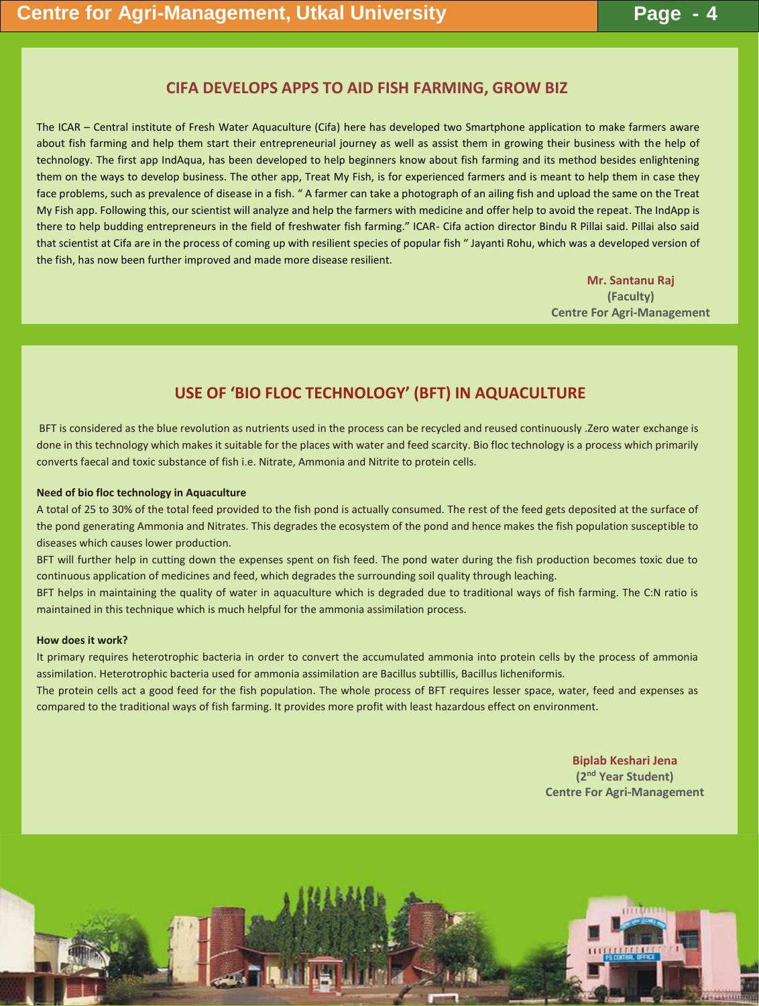## **CIFA DEVELOPS APPS TO AID FISH FARMING, GROW BIZ**

The ICAR – Central institute of Fresh Water Aquaculture (Cifa) here has developed two Smartphone application to make farmers aware about fish farming and help them start their entrepreneurial journey as well as assist them in growing their business with the help of technology. The first app IndAqua, has been developed to help beginners know about fish farming and its method besides enlightening them on the ways to develop business. The other app, Treat My Fish, is for experienced farmers and is meant to help them in case they face problems, such as prevalence of disease in a fish. " A farmer can take a photograph of an ailing fish and upload the same on the Treat My Fish app. Following this, our scientist will analyze and help the farmers with medicine and offer help to avoid the repeat. The IndApp is there to help budding entrepreneurs in the field of freshwater fish farming." ICAR- Cifa action director Bindu R Pillai said. Pillai also said that scientist at Cifa are in the process of coming up with resilient species of popular fish " Jayanti Rohu, which was a developed version of the fish, has now been further improved and made more disease resilient.

> **Mr. Santanu Raj (Faculty) Centre For Agri-Management**

# **USE OF 'BIO FLOC TECHNOLOGY' (BFT) IN AQUACULTURE**

BFT is considered as the blue revolution as nutrients used in the process can be recycled and reused continuously .Zero water exchange is done in this technology which makes it suitable for the places with water and feed scarcity. Bio floc technology is a process which primarily converts faecal and toxic substance of fish i.e. Nitrate, Ammonia and Nitrite to protein cells.

#### **Need of bio floc technology in Aquaculture**

A total of 25 to 30% of the total feed provided to the fish pond is actually consumed. The rest of the feed gets deposited at the surface of the pond generating Ammonia and Nitrates. This degrades the ecosystem of the pond and hence makes the fish population susceptible to diseases which causes lower production.

BFT will further help in cutting down the expenses spent on fish feed. The pond water during the fish production becomes toxic due to continuous application of medicines and feed, which degrades the surrounding soil quality through leaching.

BFT helps in maintaining the quality of water in aquaculture which is degraded due to traditional ways of fish farming. The C:N ratio is maintained in this technique which is much helpful for the ammonia assimilation process.

#### **How does it work?**

It primary requires heterotrophic bacteria in order to convert the accumulated ammonia into protein cells by the process of ammonia assimilation. Heterotrophic bacteria used for ammonia assimilation are Bacillus subtillis, Bacillus licheniformis.

The protein cells act a good feed for the fish population. The whole process of BFT requires lesser space, water, feed and expenses as compared to the traditional ways of fish farming. It provides more profit with least hazardous effect on environment.

> **Biplab Keshari Jena (2 nd Year Student) Centre For Agri-Management**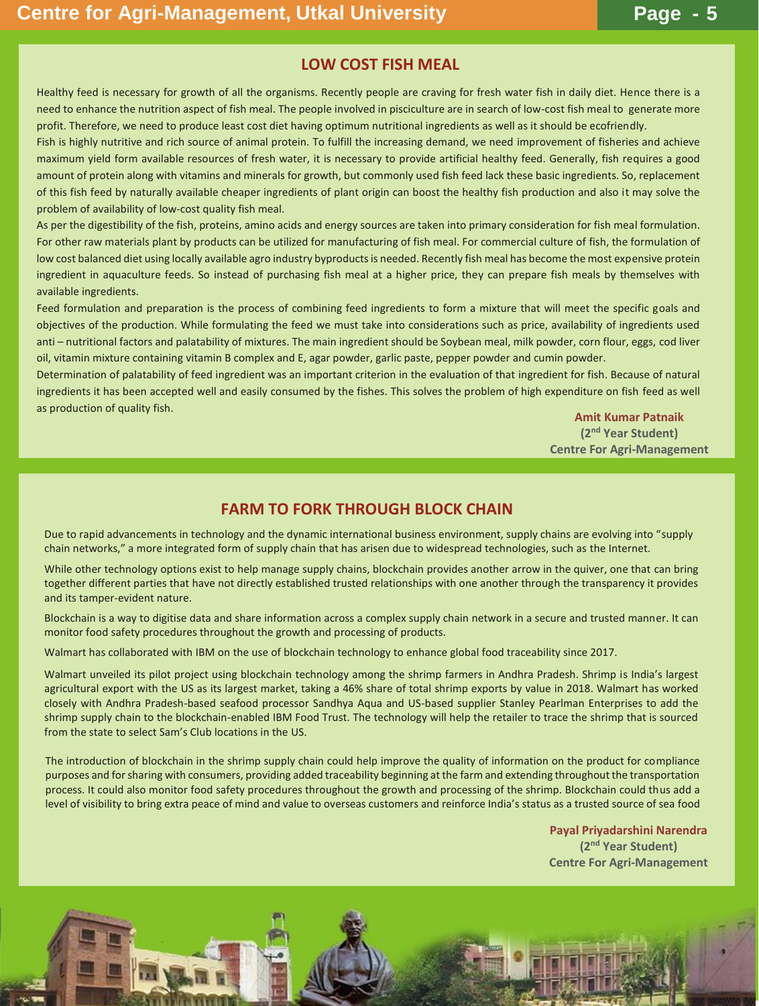## **LOW COST FISH MEAL**

Healthy feed is necessary for growth of all the organisms. Recently people are craving for fresh water fish in daily diet. Hence there is a need to enhance the nutrition aspect of fish meal. The people involved in pisciculture are in search of low-cost fish meal to generate more profit. Therefore, we need to produce least cost diet having optimum nutritional ingredients as well as it should be ecofriendly.

Fish is highly nutritive and rich source of animal protein. To fulfill the increasing demand, we need improvement of fisheries and achieve maximum yield form available resources of fresh water, it is necessary to provide artificial healthy feed. Generally, fish requires a good amount of protein along with vitamins and minerals for growth, but commonly used fish feed lack these basic ingredients. So, replacement of this fish feed by naturally available cheaper ingredients of plant origin can boost the healthy fish production and also it may solve the problem of availability of low-cost quality fish meal.

As per the digestibility of the fish, proteins, amino acids and energy sources are taken into primary consideration for fish meal formulation. For other raw materials plant by products can be utilized for manufacturing of fish meal. For commercial culture of fish, the formulation of low cost balanced diet using locally available agro industry byproducts is needed. Recently fish meal has become the most expensive protein ingredient in aquaculture feeds. So instead of purchasing fish meal at a higher price, they can prepare fish meals by themselves with available ingredients.

Feed formulation and preparation is the process of combining feed ingredients to form a mixture that will meet the specific goals and objectives of the production. While formulating the feed we must take into considerations such as price, availability of ingredients used anti – nutritional factors and palatability of mixtures. The main ingredient should be Soybean meal, milk powder, corn flour, eggs, cod liver oil, vitamin mixture containing vitamin B complex and E, agar powder, garlic paste, pepper powder and cumin powder.

Determination of palatability of feed ingredient was an important criterion in the evaluation of that ingredient for fish. Because of natural ingredients it has been accepted well and easily consumed by the fishes. This solves the problem of high expenditure on fish feed as well as production of quality fish.

**Amit Kumar Patnaik (2 nd Year Student) Centre For Agri-Management**

### **FARM TO FORK THROUGH BLOCK CHAIN**

Due to rapid advancements in technology and the dynamic international business environment, supply chains are evolving into "supply chain networks," a more integrated form of supply chain that has arisen due to widespread technologies, such as the Internet.

While other technology options exist to help manage supply chains, blockchain provides another arrow in the quiver, one that can bring together different parties that have not directly established trusted relationships with one another through the transparency it provides and its tamper-evident nature.

Blockchain is a way to digitise data and share information across a complex supply chain network in a secure and trusted manner. It can monitor food safety procedures throughout the growth and processing of products.

Walmart has collaborated with IBM on the use of blockchain technology to enhance global food traceability since 2017.

Walmart unveiled its pilot project using blockchain technology among the shrimp farmers in Andhra Pradesh. Shrimp is India's largest agricultural export with the US as its largest market, taking a 46% share of total shrimp exports by value in 2018. Walmart has worked closely with Andhra Pradesh-based seafood processor Sandhya Aqua and US-based supplier Stanley Pearlman Enterprises to add the shrimp supply chain to the blockchain-enabled IBM Food Trust. The technology will help the retailer to trace the shrimp that is sourced from the state to select Sam's Club locations in the US.

The introduction of blockchain in the shrimp supply chain could help improve the quality of information on the product for compliance purposes and for sharing with consumers, providing added traceability beginning at the farm and extending throughout the transportation process. It could also monitor food safety procedures throughout the growth and processing of the shrimp. Blockchain could thus add a level of visibility to bring extra peace of mind and value to overseas customers and reinforce India's status as a trusted source of sea food

> **Payal Priyadarshini Narendra (2 nd Year Student) Centre For Agri-Management**